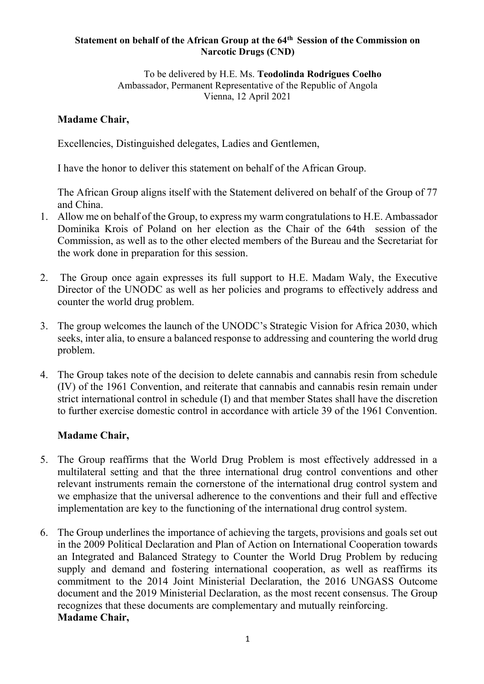#### **Statement on behalf of the African Group at the 64th Session of the Commission on Narcotic Drugs (CND)**

To be delivered by H.E. Ms. **Teodolinda Rodrigues Coelho** Ambassador, Permanent Representative of the Republic of Angola Vienna, 12 April 2021

#### **Madame Chair,**

Excellencies, Distinguished delegates, Ladies and Gentlemen,

I have the honor to deliver this statement on behalf of the African Group.

The African Group aligns itself with the Statement delivered on behalf of the Group of 77 and China.

- 1. Allow me on behalf of the Group, to express my warm congratulations to H.E. Ambassador Dominika Krois of Poland on her election as the Chair of the 64th session of the Commission, as well as to the other elected members of the Bureau and the Secretariat for the work done in preparation for this session.
- 2. The Group once again expresses its full support to H.E. Madam Waly, the Executive Director of the UNODC as well as her policies and programs to effectively address and counter the world drug problem.
- 3. The group welcomes the launch of the UNODC's Strategic Vision for Africa 2030, which seeks, inter alia, to ensure a balanced response to addressing and countering the world drug problem.
- 4. The Group takes note of the decision to delete cannabis and cannabis resin from schedule (IV) of the 1961 Convention, and reiterate that cannabis and cannabis resin remain under strict international control in schedule (I) and that member States shall have the discretion to further exercise domestic control in accordance with article 39 of the 1961 Convention.

### **Madame Chair,**

- 5. The Group reaffirms that the World Drug Problem is most effectively addressed in a multilateral setting and that the three international drug control conventions and other relevant instruments remain the cornerstone of the international drug control system and we emphasize that the universal adherence to the conventions and their full and effective implementation are key to the functioning of the international drug control system.
- 6. The Group underlines the importance of achieving the targets, provisions and goals set out in the 2009 Political Declaration and Plan of Action on International Cooperation towards an Integrated and Balanced Strategy to Counter the World Drug Problem by reducing supply and demand and fostering international cooperation, as well as reaffirms its commitment to the 2014 Joint Ministerial Declaration, the 2016 UNGASS Outcome document and the 2019 Ministerial Declaration, as the most recent consensus. The Group recognizes that these documents are complementary and mutually reinforcing. **Madame Chair,**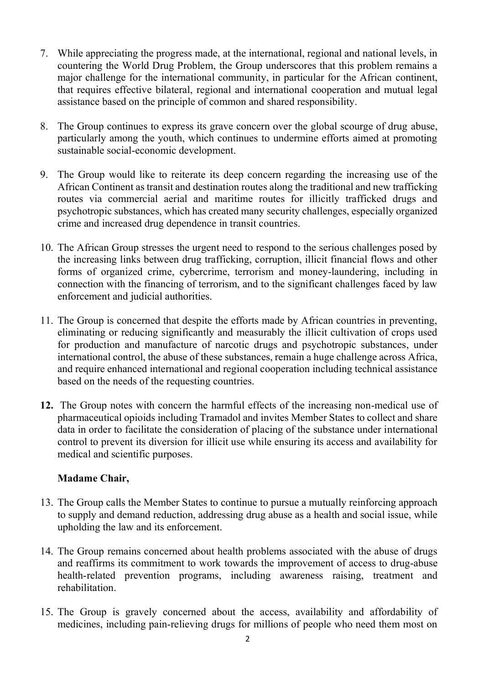- 7. While appreciating the progress made, at the international, regional and national levels, in countering the World Drug Problem, the Group underscores that this problem remains a major challenge for the international community, in particular for the African continent, that requires effective bilateral, regional and international cooperation and mutual legal assistance based on the principle of common and shared responsibility.
- 8. The Group continues to express its grave concern over the global scourge of drug abuse, particularly among the youth, which continues to undermine efforts aimed at promoting sustainable social-economic development.
- 9. The Group would like to reiterate its deep concern regarding the increasing use of the African Continent as transit and destination routes along the traditional and new trafficking routes via commercial aerial and maritime routes for illicitly trafficked drugs and psychotropic substances, which has created many security challenges, especially organized crime and increased drug dependence in transit countries.
- 10. The African Group stresses the urgent need to respond to the serious challenges posed by the increasing links between drug trafficking, corruption, illicit financial flows and other forms of organized crime, cybercrime, terrorism and money-laundering, including in connection with the financing of terrorism, and to the significant challenges faced by law enforcement and judicial authorities.
- 11. The Group is concerned that despite the efforts made by African countries in preventing, eliminating or reducing significantly and measurably the illicit cultivation of crops used for production and manufacture of narcotic drugs and psychotropic substances, under international control, the abuse of these substances, remain a huge challenge across Africa, and require enhanced international and regional cooperation including technical assistance based on the needs of the requesting countries.
- **12.** The Group notes with concern the harmful effects of the increasing non-medical use of pharmaceutical opioids including Tramadol and invites Member States to collect and share data in order to facilitate the consideration of placing of the substance under international control to prevent its diversion for illicit use while ensuring its access and availability for medical and scientific purposes.

### **Madame Chair,**

- 13. The Group calls the Member States to continue to pursue a mutually reinforcing approach to supply and demand reduction, addressing drug abuse as a health and social issue, while upholding the law and its enforcement.
- 14. The Group remains concerned about health problems associated with the abuse of drugs and reaffirms its commitment to work towards the improvement of access to drug-abuse health-related prevention programs, including awareness raising, treatment and rehabilitation.
- 15. The Group is gravely concerned about the access, availability and affordability of medicines, including pain-relieving drugs for millions of people who need them most on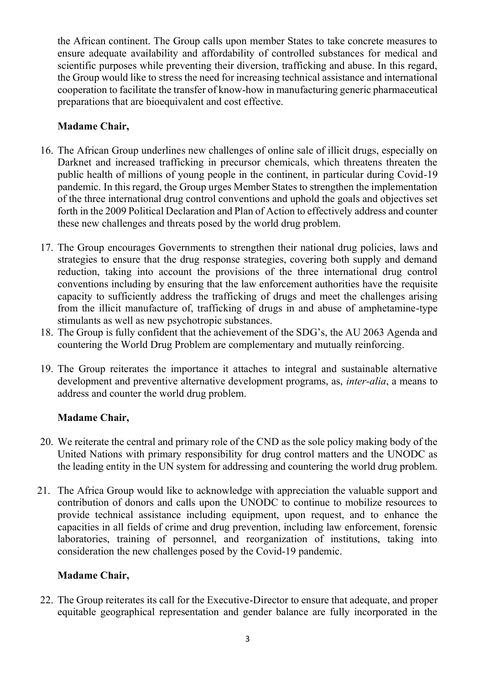the African continent. The Group calls upon member States to take concrete measures to ensure adequate availability and affordability of controlled substances for medical and scientific purposes while preventing their diversion, trafficking and abuse. In this regard, the Group would like to stress the need for increasing technical assistance and international cooperation to facilitate the transfer of know-how in manufacturing generic pharmaceutical preparations that are bioequivalent and cost effective.

# **Madame Chair,**

- 16. The African Group underlines new challenges of online sale of illicit drugs, especially on Darknet and increased trafficking in precursor chemicals, which threatens threaten the public health of millions of young people in the continent, in particular during Covid-19 pandemic. In this regard, the Group urges Member States to strengthen the implementation of the three international drug control conventions and uphold the goals and objectives set forth in the 2009 Political Declaration and Plan of Action to effectively address and counter these new challenges and threats posed by the world drug problem.
- 17. The Group encourages Governments to strengthen their national drug policies, laws and strategies to ensure that the drug response strategies, covering both supply and demand reduction, taking into account the provisions of the three international drug control conventions including by ensuring that the law enforcement authorities have the requisite capacity to sufficiently address the trafficking of drugs and meet the challenges arising from the illicit manufacture of, trafficking of drugs in and abuse of amphetamine-type stimulants as well as new psychotropic substances.
- 18. The Group is fully confident that the achievement of the SDG's, the AU 2063 Agenda and countering the World Drug Problem are complementary and mutually reinforcing.
- 19. The Group reiterates the importance it attaches to integral and sustainable alternative development and preventive alternative development programs, as, *inter-alia*, a means to address and counter the world drug problem.

## **Madame Chair,**

- 20. We reiterate the central and primary role of the CND as the sole policy making body of the United Nations with primary responsibility for drug control matters and the UNODC as the leading entity in the UN system for addressing and countering the world drug problem.
- 21. The Africa Group would like to acknowledge with appreciation the valuable support and contribution of donors and calls upon the UNODC to continue to mobilize resources to provide technical assistance including equipment, upon request, and to enhance the capacities in all fields of crime and drug prevention, including law enforcement, forensic laboratories, training of personnel, and reorganization of institutions, taking into consideration the new challenges posed by the Covid-19 pandemic.

## **Madame Chair,**

22. The Group reiterates its call for the Executive-Director to ensure that adequate, and proper equitable geographical representation and gender balance are fully incorporated in the